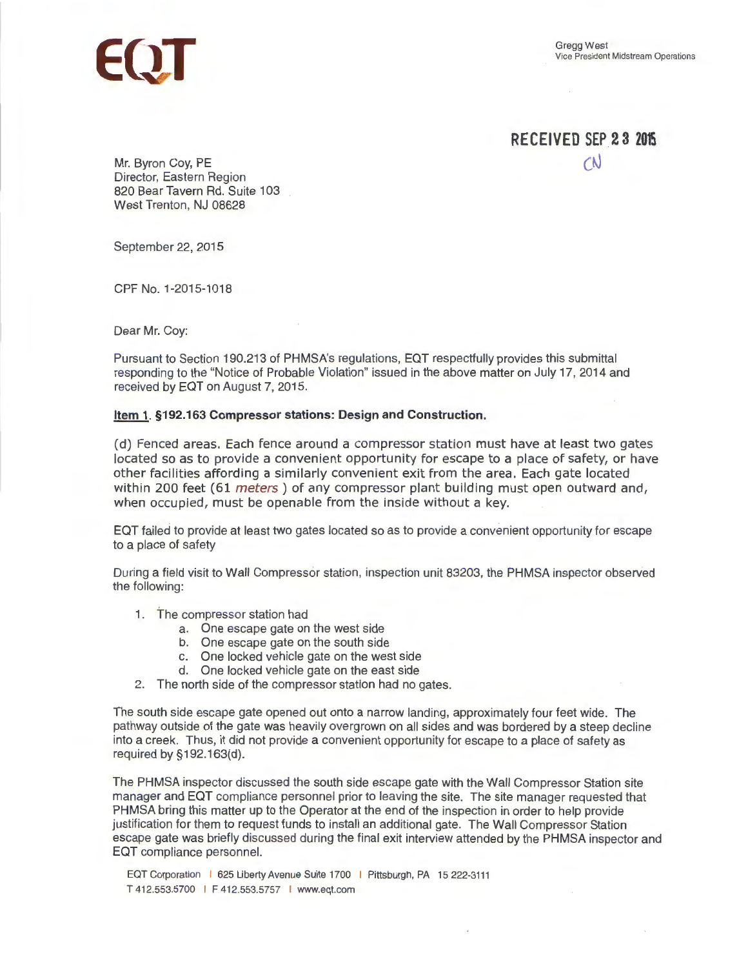

**RECEIVED SEP2 3 2015**  CN

Mr. Byron Coy, PE Director, Eastern Region 820 Bear Tavern Rd. Suite 103 West Trenton, NJ 08628

September 22, 2015

CPF No. 1-2015-1018

Dear Mr. Coy:

Pursuant to Section 190.213 of PHMSA's regulations, EQT respectfully provides this submittal responding to the "Notice of Probable Violation" issued in the above matter on July 17, 2014 and received by EQT on August 7, 2015.

## **Item 1. §192.163 Compressor stations: Design and Construction.**

(d) Fenced areas. Each fence around a compressor station must have at least two gates located so as to provide a convenient opportunity for escape to a place of safety, or have other facilities affording a similarly convenient exit from the area. Each gate located within 200 feet (61 *meters* ) of any compressor plant building must open outward and, when occupied, must be openable from the inside without a key.

EQT failed to provide at least two gates located so as to provide a convenient opportunity for escape to a place of safety

During a field visit to Wall Compressor station, inspection unit 83203, the PHMSA inspector observed the following:

- 1. The compressor station had
	- a. One escape gate on the west side
	- b. One escape gate on the south side
	- c. One locked vehicle gate on the west side
	- d. One locked vehicle gate on the east side
- 2. The north side of the compressor station had no gates.

The south side escape gate opened out onto a narrow landing, approximately four feet wide. The pathway outside of the gate was heavily overgrown on all sides and was bordered by a steep decline into a creek. Thus, it did not provide a convenient opportunity for escape to a place of safety as required by§192.163(d).

The PHMSA inspector discussed the south side escape gate with the Wall Compressor Station site manager and EQT compliance personnel prior to leaving the site. The site manager requested that PHMSA bring this matter up to the Operator at the end of the inspection in order to help provide justification for them to request funds to install an additional gate. The Wall Compressor Station escape gate was briefly discussed during the final exit interview attended by the PHMSA inspector and EQT compliance personnel.

EQT Corporation | 625 Liberty Avenue Suite 1700 | Pittsburgh, PA 15 222-3111 T 412.553.5700 I F 412.553.5757 I www.eqt.com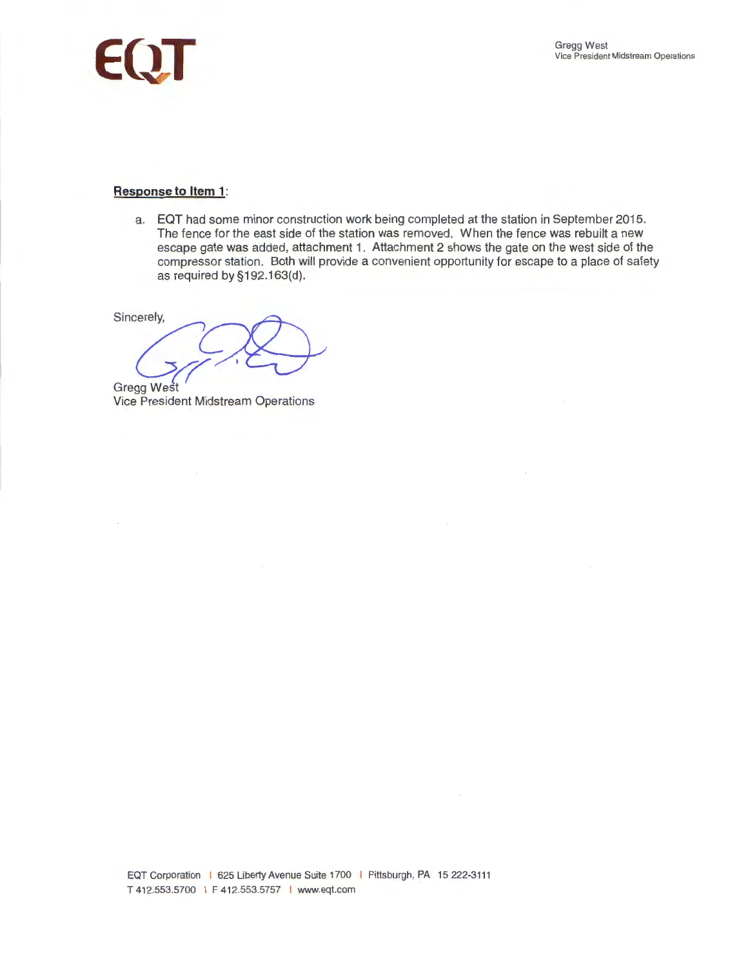

## **Response to Item 1:**

a. EQT had some minor construction work being completed at the station in September 2015. The fence for the east side of the station was removed. When the fence was rebuilt a new escape gate was added, attachment 1. Attachment 2 shows the gate on the west side of the compressor station. Both will provide a convenient opportunity for escape to a place of safety as required by§192.163(d).

Sincerely,

Gregg West Vice President Midstream Operations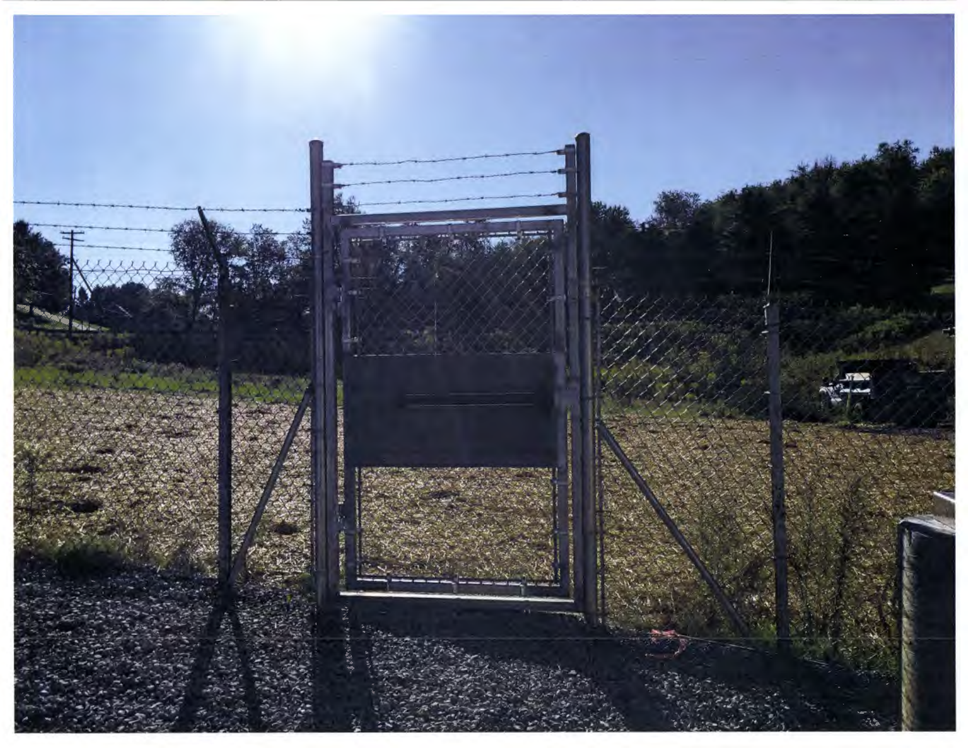